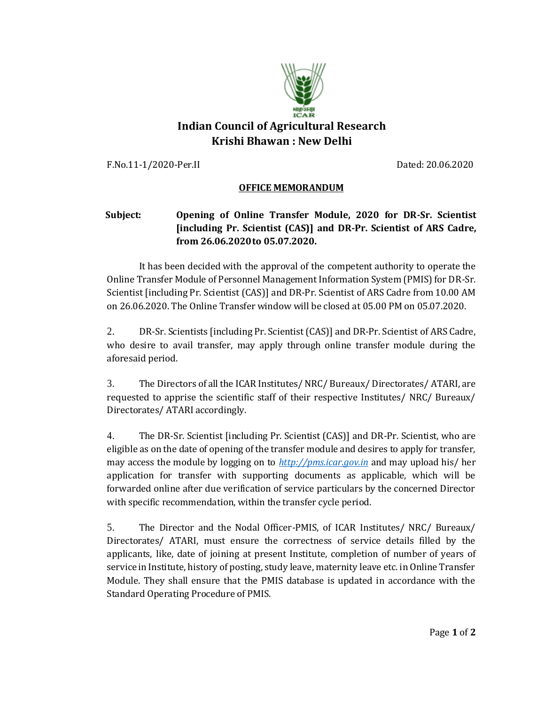

## **Indian Council of Agricultural Research Krishi Bhawan : New Delhi**

F.No.11-1/2020-Per.II Dated: 20.06.2020

## **OFFICE MEMORANDUM**

## **Subject: Opening of Online Transfer Module, 2020 for DR-Sr. Scientist [including Pr. Scientist (CAS)] and DR-Pr. Scientist of ARS Cadre, from 26.06.2020to 05.07.2020.**

It has been decided with the approval of the competent authority to operate the Online Transfer Module of Personnel Management Information System (PMIS) for DR-Sr. Scientist [including Pr. Scientist (CAS)] and DR-Pr. Scientist of ARS Cadre from 10.00 AM on 26.06.2020. The Online Transfer window will be closed at 05.00 PM on 05.07.2020.

2. DR-Sr. Scientists [including Pr. Scientist (CAS)] and DR-Pr. Scientist of ARS Cadre, who desire to avail transfer, may apply through online transfer module during the aforesaid period.

3. The Directors of all the ICAR Institutes/ NRC/ Bureaux/ Directorates/ ATARI, are requested to apprise the scientific staff of their respective Institutes/ NRC/ Bureaux/ Directorates/ ATARI accordingly.

4. The DR-Sr. Scientist [including Pr. Scientist (CAS)] and DR-Pr. Scientist, who are eligible as on the date of opening of the transfer module and desires to apply for transfer, may access the module by logging on to *[http://pms.icar.gov.in](http://pms.icar.gov.in/)* and may upload his/ her application for transfer with supporting documents as applicable, which will be forwarded online after due verification of service particulars by the concerned Director with specific recommendation, within the transfer cycle period.

5. The Director and the Nodal Officer-PMIS, of ICAR Institutes/ NRC/ Bureaux/ Directorates/ ATARI, must ensure the correctness of service details filled by the applicants, like, date of joining at present Institute, completion of number of years of service in Institute, history of posting, study leave, maternity leave etc. in Online Transfer Module. They shall ensure that the PMIS database is updated in accordance with the Standard Operating Procedure of PMIS.